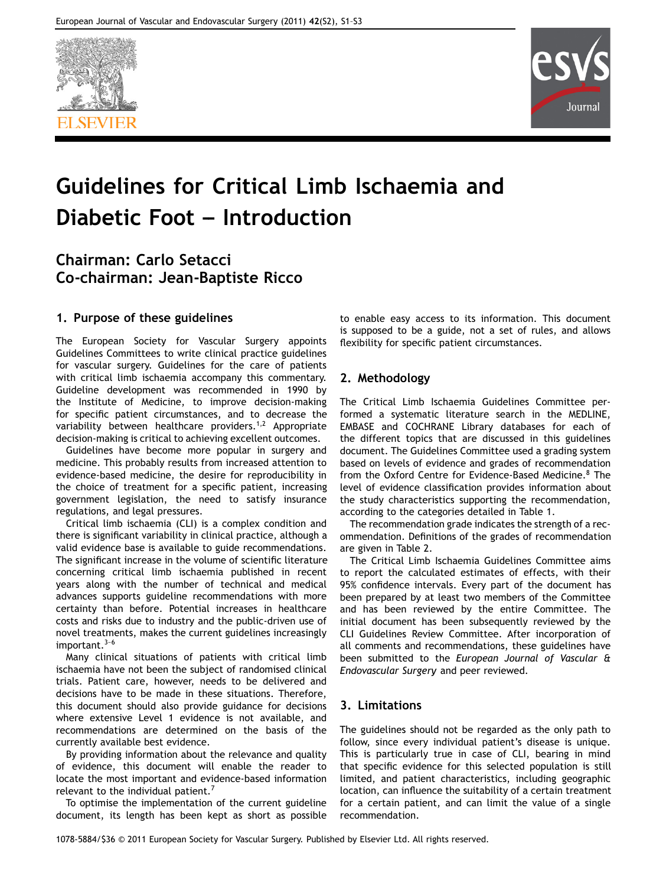



# Guidelines for Critical Limb Ischaemia and Diabetic Foot – Introduction

# Chairman: Carlo Setacci Co-chairman: Jean-Baptiste Ricco

## 1. Purpose of these guidelines

The European Society for Vascular Surgery appoints Guidelines Committees to write clinical practice guidelines for vascular surgery. Guidelines for the care of patients with critical limb ischaemia accompany this commentary. Guideline development was recommended in 1990 by the Institute of Medicine, to improve decision-making for specific patient circumstances, and to decrease the variability between healthcare providers.<sup>1,2</sup> Appropriate decision-making is critical to achieving excellent outcomes.

Guidelines have become more popular in surgery and medicine. This probably results from increased attention to evidence-based medicine, the desire for reproducibility in the choice of treatment for a specific patient, increasing government legislation, the need to satisfy insurance regulations, and legal pressures.

Critical limb ischaemia (CLI) is a complex condition and there is significant variability in clinical practice, although a valid evidence base is available to guide recommendations. The significant increase in the volume of scientific literature concerning critical limb ischaemia published in recent years along with the number of technical and medical advances supports guideline recommendations with more certainty than before. Potential increases in healthcare costs and risks due to industry and the public-driven use of novel treatments, makes the current guidelines increasingly important. $3-6$ 

Many clinical situations of patients with critical limb ischaemia have not been the subject of randomised clinical trials. Patient care, however, needs to be delivered and decisions have to be made in these situations. Therefore, this document should also provide guidance for decisions where extensive Level 1 evidence is not available, and recommendations are determined on the basis of the currently available best evidence.

By providing information about the relevance and quality of evidence, this document will enable the reader to locate the most important and evidence-based information relevant to the individual patient.<sup>7</sup>

To optimise the implementation of the current guideline document, its length has been kept as short as possible to enable easy access to its information. This document is supposed to be a guide, not a set of rules, and allows flexibility for specific patient circumstances.

# 2. Methodology

The Critical Limb Ischaemia Guidelines Committee performed a systematic literature search in the MEDLINE, EMBASE and COCHRANE Library databases for each of the different topics that are discussed in this guidelines document. The Guidelines Committee used a grading system based on levels of evidence and grades of recommendation from the Oxford Centre for Evidence-Based Medicine.<sup>8</sup> The level of evidence classification provides information about the study characteristics supporting the recommendation, according to the categories detailed in Table 1.

The recommendation grade indicates the strength of a recommendation. Definitions of the grades of recommendation are given in Table 2.

The Critical Limb Ischaemia Guidelines Committee aims to report the calculated estimates of effects, with their 95% confidence intervals. Every part of the document has been prepared by at least two members of the Committee and has been reviewed by the entire Committee. The initial document has been subsequently reviewed by the CLI Guidelines Review Committee. After incorporation of all comments and recommendations, these guidelines have been submitted to the European Journal of Vascular & Endovascular Surgery and peer reviewed.

### 3. Limitations

The guidelines should not be regarded as the only path to follow, since every individual patient's disease is unique. This is particularly true in case of CLI, bearing in mind that specific evidence for this selected population is still limited, and patient characteristics, including geographic location, can influence the suitability of a certain treatment for a certain patient, and can limit the value of a single recommendation.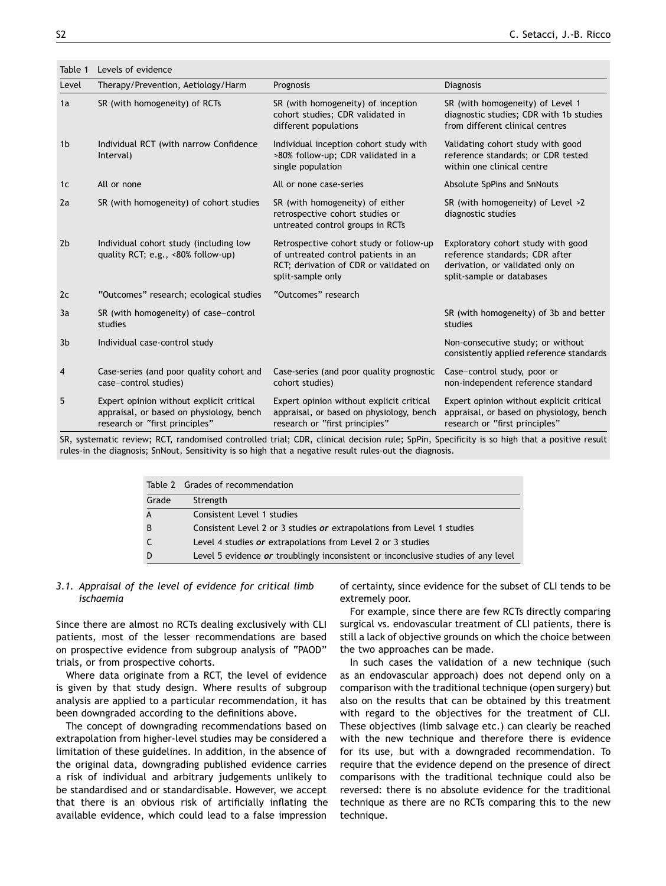Table 1 Levels of evidence

| Therapy/Prevention, Aetiology/Harm                                                                                     | Prognosis                                                                                                                                     | Diagnosis                                                                                                                             |
|------------------------------------------------------------------------------------------------------------------------|-----------------------------------------------------------------------------------------------------------------------------------------------|---------------------------------------------------------------------------------------------------------------------------------------|
| SR (with homogeneity) of RCTs                                                                                          | SR (with homogeneity) of inception<br>cohort studies; CDR validated in<br>different populations                                               | SR (with homogeneity) of Level 1<br>diagnostic studies; CDR with 1b studies<br>from different clinical centres                        |
| Individual RCT (with narrow Confidence<br>Interval)                                                                    | Individual inception cohort study with<br>>80% follow-up; CDR validated in a<br>single population                                             | Validating cohort study with good<br>reference standards; or CDR tested<br>within one clinical centre                                 |
| All or none                                                                                                            | All or none case-series                                                                                                                       | Absolute SpPins and SnNouts                                                                                                           |
| SR (with homogeneity) of cohort studies                                                                                | SR (with homogeneity) of either<br>retrospective cohort studies or<br>untreated control groups in RCTs                                        | SR (with homogeneity) of Level >2<br>diagnostic studies                                                                               |
| Individual cohort study (including low<br>quality RCT; e.g., <80% follow-up)                                           | Retrospective cohort study or follow-up<br>of untreated control patients in an<br>RCT; derivation of CDR or validated on<br>split-sample only | Exploratory cohort study with good<br>reference standards; CDR after<br>derivation, or validated only on<br>split-sample or databases |
| "Outcomes" research; ecological studies                                                                                | "Outcomes" research                                                                                                                           |                                                                                                                                       |
| SR (with homogeneity) of case-control<br>studies                                                                       |                                                                                                                                               | SR (with homogeneity) of 3b and better<br>studies                                                                                     |
| Individual case-control study                                                                                          |                                                                                                                                               | Non-consecutive study; or without<br>consistently applied reference standards                                                         |
| Case-series (and poor quality cohort and<br>case-control studies)                                                      | Case-series (and poor quality prognostic<br>cohort studies)                                                                                   | Case-control study, poor or<br>non-independent reference standard                                                                     |
| Expert opinion without explicit critical<br>appraisal, or based on physiology, bench<br>research or "first principles" | Expert opinion without explicit critical<br>appraisal, or based on physiology, bench<br>research or "first principles"                        | Expert opinion without explicit critical<br>appraisal, or based on physiology, bench<br>research or "first principles"                |
|                                                                                                                        |                                                                                                                                               |                                                                                                                                       |

SR, systematic review; RCT, randomised controlled trial; CDR, clinical decision rule; SpPin, Specificity is so high that a positive result rules-in the diagnosis; SnNout, Sensitivity is so high that a negative result rules-out the diagnosis.

|                | Table 2 Grades of recommendation                                                  |
|----------------|-----------------------------------------------------------------------------------|
| Grade          | Strength                                                                          |
| $\overline{A}$ | Consistent Level 1 studies                                                        |
| B              | Consistent Level 2 or 3 studies or extrapolations from Level 1 studies            |
| $\mathsf{C}$   | Level 4 studies or extrapolations from Level 2 or 3 studies                       |
| D              | Level 5 evidence or troublingly inconsistent or inconclusive studies of any level |

#### 3.1. Appraisal of the level of evidence for critical limb ischaemia

Since there are almost no RCTs dealing exclusively with CLI patients, most of the lesser recommendations are based on prospective evidence from subgroup analysis of "PAOD" trials, or from prospective cohorts.

Where data originate from a RCT, the level of evidence is given by that study design. Where results of subgroup analysis are applied to a particular recommendation, it has been downgraded according to the definitions above.

The concept of downgrading recommendations based on extrapolation from higher-level studies may be considered a limitation of these guidelines. In addition, in the absence of the original data, downgrading published evidence carries a risk of individual and arbitrary judgements unlikely to be standardised and or standardisable. However, we accept that there is an obvious risk of artificially inflating the available evidence, which could lead to a false impression

of certainty, since evidence for the subset of CLI tends to be extremely poor.

For example, since there are few RCTs directly comparing surgical vs. endovascular treatment of CLI patients, there is still a lack of objective grounds on which the choice between the two approaches can be made.

In such cases the validation of a new technique (such as an endovascular approach) does not depend only on a comparison with the traditional technique (open surgery) but also on the results that can be obtained by this treatment with regard to the objectives for the treatment of CLI. These objectives (limb salvage etc.) can clearly be reached with the new technique and therefore there is evidence for its use, but with a downgraded recommendation. To require that the evidence depend on the presence of direct comparisons with the traditional technique could also be reversed: there is no absolute evidence for the traditional technique as there are no RCTs comparing this to the new technique.